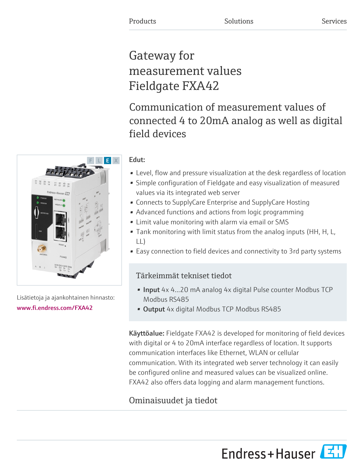# Gateway for measurement values Fieldgate FXA42

## Communication of measurement values of connected 4 to 20mA analog as well as digital field devices

#### Edut:

- Level, flow and pressure visualization at the desk regardless of location
- Simple configuration of Fieldgate and easy visualization of measured values via its integrated web server
- Connects to SupplyCare Enterprise and SupplyCare Hosting
- Advanced functions and actions from logic programming
- Limit value monitoring with alarm via email or SMS
- Tank monitoring with limit status from the analog inputs (HH, H, L, LL)
- Easy connection to field devices and connectivity to 3rd party systems

### Tärkeimmät tekniset tiedot

- Input 4x 4...20 mA analog 4x digital Pulse counter Modbus TCP Modbus RS485
- Output 4x digital Modbus TCP Modbus RS485

Käyttöalue: Fieldgate FXA42 is developed for monitoring of field devices with digital or 4 to 20mA interface regardless of location. It supports communication interfaces like Ethernet, WLAN or cellular communication. With its integrated web server technology it can easily be configured online and measured values can be visualized online. FXA42 also offers data logging and alarm management functions.

### Ominaisuudet ja tiedot





Lisätietoja ja ajankohtainen hinnasto: [www.fi.endress.com/FXA42](https://www.fi.endress.com/FXA42)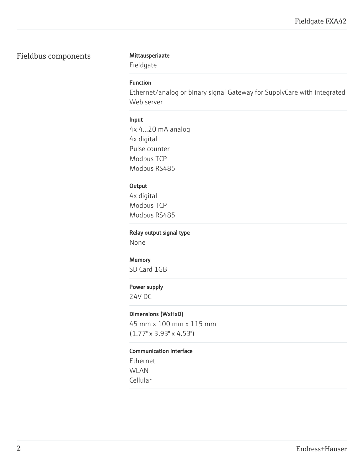#### Fieldbus components Mittausperiaate

Fieldgate

#### Function

Ethernet/analog or binary signal Gateway for SupplyCare with integrated Web server

#### Input

4x 4...20 mA analog 4x digital Pulse counter Modbus TCP Modbus RS485

#### **Output**

4x digital Modbus TCP Modbus RS485

#### Relay output signal type

None

#### **Memory**

SD Card 1GB

#### Power supply

24V DC

#### Dimensions (WxHxD)

45 mm x 100 mm x 115 mm (1.77" x 3.93" x 4.53")

#### Communication interface

Ethernet WLAN Cellular